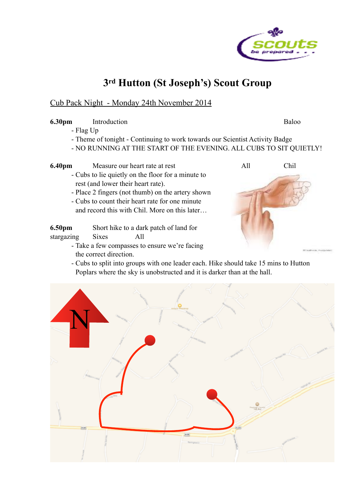

## **3rd Hutton (St Joseph's) Scout Group**

## Cub Pack Night - Monday 24th November 2014

## **6.30pm** Introduction Baloo

- Flag Up
- Theme of tonight Continuing to work towards our Scientist Activity Badge
- NO RUNNING AT THE START OF THE EVENING. ALL CUBS TO SIT QUIETLY!
- **6.40pm** Measure our heart rate at rest All All Chil - Cubs to lie quietly on the floor for a minute to rest (and lower their heart rate).
	- Place 2 fingers (not thumb) on the artery shown
	- Cubs to count their heart rate for one minute and record this with Chil. More on this later…

**6.50pm** Short hike to a dark patch of land for

- stargazing Sixes All
	- Take a few compasses to ensure we're facing the correct direction.
	- Cubs to split into groups with one leader each. Hike should take 15 mins to Hutton Poplars where the sky is unobstructed and it is darker than at the hall.

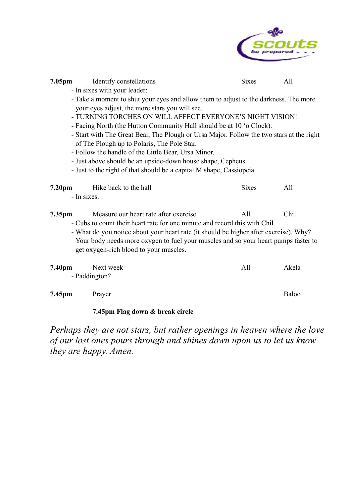

| 7.05pm<br>Identify constellations<br>- In sixes with your leader:<br>- Take a moment to shut your eyes and allow them to adjust to the darkness. The more<br>your eyes adjust, the more stars you will see.<br>- TURNING TORCHES ON WILL AFFECT EVERYONE'S NIGHT VISION!<br>- Facing North (the Hutton Community Hall should be at 10 'o Clock).<br>- Start with The Great Bear, The Plough or Ursa Major. Follow the two stars at the right<br>of The Plough up to Polaris, The Pole Star.<br>- Follow the handle of the Little Bear, Ursa Minor. | <b>Sixes</b> | All   |  |
|----------------------------------------------------------------------------------------------------------------------------------------------------------------------------------------------------------------------------------------------------------------------------------------------------------------------------------------------------------------------------------------------------------------------------------------------------------------------------------------------------------------------------------------------------|--------------|-------|--|
| - Just above should be an upside-down house shape, Cepheus.<br>- Just to the right of that should be a capital M shape, Cassiopeia                                                                                                                                                                                                                                                                                                                                                                                                                 |              |       |  |
| 7.20 <sub>pm</sub><br>Hike back to the hall<br>- In sixes.                                                                                                                                                                                                                                                                                                                                                                                                                                                                                         | <b>Sixes</b> | All   |  |
| Chil<br>Measure our heart rate after exercise<br>All<br>7.35pm<br>- Cubs to count their heart rate for one minute and record this with Chil.<br>- What do you notice about your heart rate (it should be higher after exercise). Why?<br>Your body needs more oxygen to fuel your muscles and so your heart pumps faster to<br>get oxygen-rich blood to your muscles.                                                                                                                                                                              |              |       |  |
| 7.40pm<br>Next week<br>- Paddington?                                                                                                                                                                                                                                                                                                                                                                                                                                                                                                               | All          | Akela |  |
| 7.45pm<br>Prayer                                                                                                                                                                                                                                                                                                                                                                                                                                                                                                                                   |              | Baloo |  |

## **7.45pm Flag down & break circle**

*Perhaps they are not stars, but rather openings in heaven where the love of our lost ones pours through and shines down upon us to let us know they are happy. Amen.*